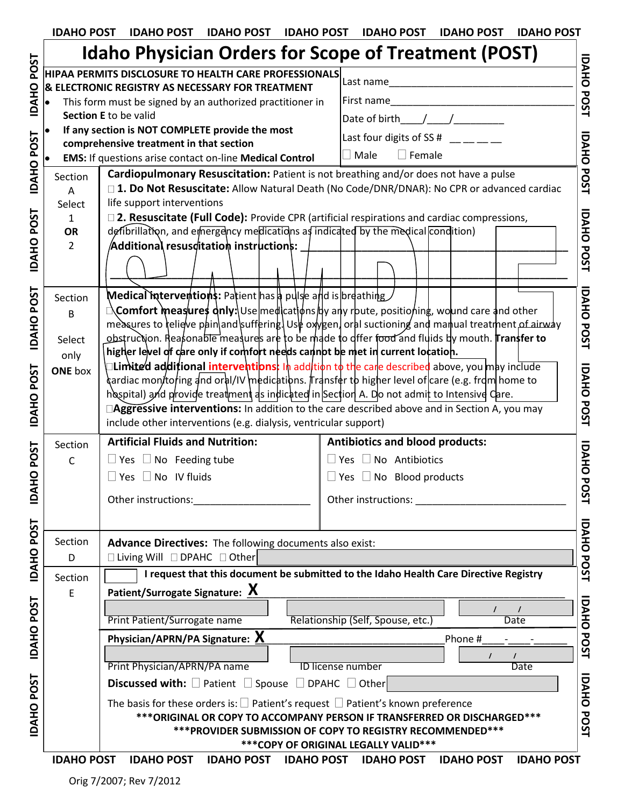| <b>IDAHO POST</b> | <b>IDAHO POST</b><br><b>IDAHO POST</b>                                                                    | <b>IDAHO POST</b><br><b>IDAHO POST</b><br><b>IDAHO POST</b><br><b>IDAHO POST</b>                                                                                                                                               |  |
|-------------------|-----------------------------------------------------------------------------------------------------------|--------------------------------------------------------------------------------------------------------------------------------------------------------------------------------------------------------------------------------|--|
|                   |                                                                                                           | <b>Idaho Physician Orders for Scope of Treatment (POST)</b>                                                                                                                                                                    |  |
|                   | HIPAA PERMITS DISCLOSURE TO HEALTH CARE PROFESSIONALS<br>& ELECTRONIC REGISTRY AS NECESSARY FOR TREATMENT | Last name                                                                                                                                                                                                                      |  |
|                   | This form must be signed by an authorized practitioner in                                                 | First name                                                                                                                                                                                                                     |  |
|                   | Section E to be valid                                                                                     |                                                                                                                                                                                                                                |  |
|                   | If any section is NOT COMPLETE provide the most                                                           |                                                                                                                                                                                                                                |  |
|                   | comprehensive treatment in that section                                                                   | Last four digits of SS # $\_\_\_\_\_\_\_\_\_\_\_$                                                                                                                                                                              |  |
|                   | <b>EMS:</b> If questions arise contact on-line Medical Control                                            | $\Box$ Female<br>Male                                                                                                                                                                                                          |  |
| Section           | Cardiopulmonary Resuscitation: Patient is not breathing and/or does not have a pulse                      |                                                                                                                                                                                                                                |  |
| A<br>Select       | life support interventions                                                                                | □ 1. Do Not Resuscitate: Allow Natural Death (No Code/DNR/DNAR): No CPR or advanced cardiac                                                                                                                                    |  |
| $\mathbf{1}$      |                                                                                                           | □ 2. Resuscitate (Full Code): Provide CPR (artificial respirations and cardiac compressions,                                                                                                                                   |  |
| OR                | defibrillation, and emergency medications as indicated by the medical condition)                          |                                                                                                                                                                                                                                |  |
| $\overline{2}$    | $\,$ Additional resus $\,$ ditatio $\,$ n instruction $\,$ s: $\,$                                        |                                                                                                                                                                                                                                |  |
|                   |                                                                                                           |                                                                                                                                                                                                                                |  |
|                   |                                                                                                           |                                                                                                                                                                                                                                |  |
| Section           | <b>Medical interventions:</b> Patient has a pulse and is breathing                                        |                                                                                                                                                                                                                                |  |
| B                 |                                                                                                           | <b>∆Comfort measures dnIy:</b> \Use medlcatløns dy any rbute, positioning, wolund care and other                                                                                                                               |  |
|                   |                                                                                                           | measures to relieve pain and suffering. Use oxygen, oral suctioning and manual treatment of airway                                                                                                                             |  |
| Select            | higher level of care only if comfort needs cannot be met in current location.                             | obstruction. Reasonable measures are to be made to differ food and fluids by mouth. Transfer to                                                                                                                                |  |
| only              |                                                                                                           | I <b>Limited additional interventions:</b> In addition to the care described above, you may include                                                                                                                            |  |
| <b>ONE</b> box    |                                                                                                           | dardiac mon/to/ing and oral/IV \medications. #ransfer to higher level of care (e.g. frdm home to `                                                                                                                             |  |
|                   | hospital) and provide treatment as indicated in Section A. Do not admit to Intensive Care.                |                                                                                                                                                                                                                                |  |
|                   |                                                                                                           | □Aggressive interventions: In addition to the care described above and in Section A, you may                                                                                                                                   |  |
|                   | include other interventions (e.g. dialysis, ventricular support)                                          |                                                                                                                                                                                                                                |  |
| Section           | <b>Artificial Fluids and Nutrition:</b>                                                                   | <b>Antibiotics and blood products:</b>                                                                                                                                                                                         |  |
| C                 | $\Box$ Yes $\Box$ No Feeding tube                                                                         | $\Box$ Yes $\Box$ No Antibiotics                                                                                                                                                                                               |  |
|                   | $\Box$ Yes $\Box$ No IV fluids                                                                            | $\Box$ Yes $\Box$ No Blood products                                                                                                                                                                                            |  |
|                   | Other instructions:                                                                                       | Other instructions: National Property of the Contract of the Contract of the Contract of the Contract of the Contract of the Contract of the Contract of the Contract of the Contract of the Contract of the Contract of the C |  |
|                   |                                                                                                           |                                                                                                                                                                                                                                |  |
|                   |                                                                                                           |                                                                                                                                                                                                                                |  |
| Section           | Advance Directives: The following documents also exist:                                                   |                                                                                                                                                                                                                                |  |
| D                 | $\Box$ Living Will $\Box$ DPAHC $\Box$ Other                                                              |                                                                                                                                                                                                                                |  |
| Section           | I request that this document be submitted to the Idaho Health Care Directive Registry                     |                                                                                                                                                                                                                                |  |
| E                 | Patient/Surrogate Signature: X                                                                            |                                                                                                                                                                                                                                |  |
|                   |                                                                                                           |                                                                                                                                                                                                                                |  |
|                   | Print Patient/Surrogate name                                                                              | Relationship (Self, Spouse, etc.)<br><b>Date</b>                                                                                                                                                                               |  |
|                   | Physician/APRN/PA Signature: X<br>Phone #                                                                 |                                                                                                                                                                                                                                |  |
|                   |                                                                                                           | $\prime$                                                                                                                                                                                                                       |  |
|                   | Print Physician/APRN/PA name<br><b>ID license number</b><br><b>Date</b>                                   |                                                                                                                                                                                                                                |  |
|                   | <b>Discussed with:</b> $\Box$ Patient $\Box$ Spouse $\Box$ DPAHC $\Box$ Other                             |                                                                                                                                                                                                                                |  |
|                   | The basis for these orders is: $\Box$ Patient's request $\Box$ Patient's known preference                 |                                                                                                                                                                                                                                |  |

|                                                                                                  | <u>iualio Filipsiciali Oruels IVI Scope or freatifielit (FOST)</u>                                                                                                          |                                                                                                                                                                                                                                                                                                                                                                                                                                                                                                                                                                                                                                                                                                                                                                                                                                                                                                                                                                                                                                                                                                                                                                                            |  |  |
|--------------------------------------------------------------------------------------------------|-----------------------------------------------------------------------------------------------------------------------------------------------------------------------------|--------------------------------------------------------------------------------------------------------------------------------------------------------------------------------------------------------------------------------------------------------------------------------------------------------------------------------------------------------------------------------------------------------------------------------------------------------------------------------------------------------------------------------------------------------------------------------------------------------------------------------------------------------------------------------------------------------------------------------------------------------------------------------------------------------------------------------------------------------------------------------------------------------------------------------------------------------------------------------------------------------------------------------------------------------------------------------------------------------------------------------------------------------------------------------------------|--|--|
| <b>POST</b><br>HIPAA PERMITS DISCLOSURE TO HEALTH CARE PROFESSIONALS<br>Last name<br><b>UAHO</b> |                                                                                                                                                                             |                                                                                                                                                                                                                                                                                                                                                                                                                                                                                                                                                                                                                                                                                                                                                                                                                                                                                                                                                                                                                                                                                                                                                                                            |  |  |
|                                                                                                  |                                                                                                                                                                             |                                                                                                                                                                                                                                                                                                                                                                                                                                                                                                                                                                                                                                                                                                                                                                                                                                                                                                                                                                                                                                                                                                                                                                                            |  |  |
|                                                                                                  |                                                                                                                                                                             | First name                                                                                                                                                                                                                                                                                                                                                                                                                                                                                                                                                                                                                                                                                                                                                                                                                                                                                                                                                                                                                                                                                                                                                                                 |  |  |
|                                                                                                  |                                                                                                                                                                             | Date of birth $\frac{1}{\sqrt{1-\frac{1}{2}}}\$                                                                                                                                                                                                                                                                                                                                                                                                                                                                                                                                                                                                                                                                                                                                                                                                                                                                                                                                                                                                                                                                                                                                            |  |  |
| <b>IDAHO POST</b>                                                                                |                                                                                                                                                                             | Last four digits of SS # $\_\_\_\_\_\_\_\_\_\_\_$                                                                                                                                                                                                                                                                                                                                                                                                                                                                                                                                                                                                                                                                                                                                                                                                                                                                                                                                                                                                                                                                                                                                          |  |  |
| <b>EMS:</b> If questions arise contact on-line Medical Control                                   |                                                                                                                                                                             | $\Box$ Female<br>Male<br>$\mathcal{L}$                                                                                                                                                                                                                                                                                                                                                                                                                                                                                                                                                                                                                                                                                                                                                                                                                                                                                                                                                                                                                                                                                                                                                     |  |  |
|                                                                                                  | Cardiopulmonary Resuscitation: Patient is not breathing and/or does not have a pulse                                                                                        |                                                                                                                                                                                                                                                                                                                                                                                                                                                                                                                                                                                                                                                                                                                                                                                                                                                                                                                                                                                                                                                                                                                                                                                            |  |  |
| A                                                                                                | □ 1. Do Not Resuscitate: Allow Natural Death (No Code/DNR/DNAR): No CPR or advanced cardiac                                                                                 |                                                                                                                                                                                                                                                                                                                                                                                                                                                                                                                                                                                                                                                                                                                                                                                                                                                                                                                                                                                                                                                                                                                                                                                            |  |  |
| Select                                                                                           | life support interventions                                                                                                                                                  |                                                                                                                                                                                                                                                                                                                                                                                                                                                                                                                                                                                                                                                                                                                                                                                                                                                                                                                                                                                                                                                                                                                                                                                            |  |  |
| $\mathbf{1}$                                                                                     | □ 2. Resuscitate (Full Code): Provide CPR (artificial respirations and cardiac compressions,                                                                                |                                                                                                                                                                                                                                                                                                                                                                                                                                                                                                                                                                                                                                                                                                                                                                                                                                                                                                                                                                                                                                                                                                                                                                                            |  |  |
|                                                                                                  | defibrillation, and emergency medications as indicated by the medical condition)                                                                                            |                                                                                                                                                                                                                                                                                                                                                                                                                                                                                                                                                                                                                                                                                                                                                                                                                                                                                                                                                                                                                                                                                                                                                                                            |  |  |
|                                                                                                  |                                                                                                                                                                             |                                                                                                                                                                                                                                                                                                                                                                                                                                                                                                                                                                                                                                                                                                                                                                                                                                                                                                                                                                                                                                                                                                                                                                                            |  |  |
|                                                                                                  |                                                                                                                                                                             |                                                                                                                                                                                                                                                                                                                                                                                                                                                                                                                                                                                                                                                                                                                                                                                                                                                                                                                                                                                                                                                                                                                                                                                            |  |  |
|                                                                                                  |                                                                                                                                                                             |                                                                                                                                                                                                                                                                                                                                                                                                                                                                                                                                                                                                                                                                                                                                                                                                                                                                                                                                                                                                                                                                                                                                                                                            |  |  |
| Section                                                                                          |                                                                                                                                                                             |                                                                                                                                                                                                                                                                                                                                                                                                                                                                                                                                                                                                                                                                                                                                                                                                                                                                                                                                                                                                                                                                                                                                                                                            |  |  |
| B                                                                                                |                                                                                                                                                                             |                                                                                                                                                                                                                                                                                                                                                                                                                                                                                                                                                                                                                                                                                                                                                                                                                                                                                                                                                                                                                                                                                                                                                                                            |  |  |
|                                                                                                  |                                                                                                                                                                             |                                                                                                                                                                                                                                                                                                                                                                                                                                                                                                                                                                                                                                                                                                                                                                                                                                                                                                                                                                                                                                                                                                                                                                                            |  |  |
|                                                                                                  |                                                                                                                                                                             |                                                                                                                                                                                                                                                                                                                                                                                                                                                                                                                                                                                                                                                                                                                                                                                                                                                                                                                                                                                                                                                                                                                                                                                            |  |  |
|                                                                                                  |                                                                                                                                                                             |                                                                                                                                                                                                                                                                                                                                                                                                                                                                                                                                                                                                                                                                                                                                                                                                                                                                                                                                                                                                                                                                                                                                                                                            |  |  |
|                                                                                                  | sardiac mon/to/ing and oral/IV medications. Transfer to higher level of care (e.g. from home to المصر                                                                       |                                                                                                                                                                                                                                                                                                                                                                                                                                                                                                                                                                                                                                                                                                                                                                                                                                                                                                                                                                                                                                                                                                                                                                                            |  |  |
|                                                                                                  | hospital) and provide treatment as indicated in Section A. Do not admit to Intensive Care.                                                                                  |                                                                                                                                                                                                                                                                                                                                                                                                                                                                                                                                                                                                                                                                                                                                                                                                                                                                                                                                                                                                                                                                                                                                                                                            |  |  |
|                                                                                                  | □Aggressive interventions: In addition to the care described above and in Section A, you may                                                                                |                                                                                                                                                                                                                                                                                                                                                                                                                                                                                                                                                                                                                                                                                                                                                                                                                                                                                                                                                                                                                                                                                                                                                                                            |  |  |
|                                                                                                  | include other interventions (e.g. dialysis, ventricular support)                                                                                                            |                                                                                                                                                                                                                                                                                                                                                                                                                                                                                                                                                                                                                                                                                                                                                                                                                                                                                                                                                                                                                                                                                                                                                                                            |  |  |
| Section                                                                                          | <b>Artificial Fluids and Nutrition:</b>                                                                                                                                     | <b>Antibiotics and blood products:</b>                                                                                                                                                                                                                                                                                                                                                                                                                                                                                                                                                                                                                                                                                                                                                                                                                                                                                                                                                                                                                                                                                                                                                     |  |  |
| $\mathsf{C}$                                                                                     |                                                                                                                                                                             | $\Box$ Yes $\Box$ No Antibiotics                                                                                                                                                                                                                                                                                                                                                                                                                                                                                                                                                                                                                                                                                                                                                                                                                                                                                                                                                                                                                                                                                                                                                           |  |  |
|                                                                                                  | $\Box$ Yes $\Box$ No IV fluids                                                                                                                                              | $\Box$ Yes $\Box$ No Blood products                                                                                                                                                                                                                                                                                                                                                                                                                                                                                                                                                                                                                                                                                                                                                                                                                                                                                                                                                                                                                                                                                                                                                        |  |  |
|                                                                                                  |                                                                                                                                                                             |                                                                                                                                                                                                                                                                                                                                                                                                                                                                                                                                                                                                                                                                                                                                                                                                                                                                                                                                                                                                                                                                                                                                                                                            |  |  |
|                                                                                                  |                                                                                                                                                                             |                                                                                                                                                                                                                                                                                                                                                                                                                                                                                                                                                                                                                                                                                                                                                                                                                                                                                                                                                                                                                                                                                                                                                                                            |  |  |
|                                                                                                  |                                                                                                                                                                             |                                                                                                                                                                                                                                                                                                                                                                                                                                                                                                                                                                                                                                                                                                                                                                                                                                                                                                                                                                                                                                                                                                                                                                                            |  |  |
|                                                                                                  | Advance Directives: The following documents also exist:                                                                                                                     |                                                                                                                                                                                                                                                                                                                                                                                                                                                                                                                                                                                                                                                                                                                                                                                                                                                                                                                                                                                                                                                                                                                                                                                            |  |  |
|                                                                                                  |                                                                                                                                                                             |                                                                                                                                                                                                                                                                                                                                                                                                                                                                                                                                                                                                                                                                                                                                                                                                                                                                                                                                                                                                                                                                                                                                                                                            |  |  |
| Section                                                                                          | I request that this document be submitted to the Idaho Health Care Directive Registry                                                                                       |                                                                                                                                                                                                                                                                                                                                                                                                                                                                                                                                                                                                                                                                                                                                                                                                                                                                                                                                                                                                                                                                                                                                                                                            |  |  |
| E                                                                                                |                                                                                                                                                                             |                                                                                                                                                                                                                                                                                                                                                                                                                                                                                                                                                                                                                                                                                                                                                                                                                                                                                                                                                                                                                                                                                                                                                                                            |  |  |
|                                                                                                  |                                                                                                                                                                             |                                                                                                                                                                                                                                                                                                                                                                                                                                                                                                                                                                                                                                                                                                                                                                                                                                                                                                                                                                                                                                                                                                                                                                                            |  |  |
|                                                                                                  | Relationship (Self, Spouse, etc.)<br><b>Date</b>                                                                                                                            |                                                                                                                                                                                                                                                                                                                                                                                                                                                                                                                                                                                                                                                                                                                                                                                                                                                                                                                                                                                                                                                                                                                                                                                            |  |  |
|                                                                                                  | Phone #                                                                                                                                                                     |                                                                                                                                                                                                                                                                                                                                                                                                                                                                                                                                                                                                                                                                                                                                                                                                                                                                                                                                                                                                                                                                                                                                                                                            |  |  |
|                                                                                                  | <b>ID license number</b><br><b>Date</b>                                                                                                                                     |                                                                                                                                                                                                                                                                                                                                                                                                                                                                                                                                                                                                                                                                                                                                                                                                                                                                                                                                                                                                                                                                                                                                                                                            |  |  |
|                                                                                                  |                                                                                                                                                                             |                                                                                                                                                                                                                                                                                                                                                                                                                                                                                                                                                                                                                                                                                                                                                                                                                                                                                                                                                                                                                                                                                                                                                                                            |  |  |
|                                                                                                  |                                                                                                                                                                             |                                                                                                                                                                                                                                                                                                                                                                                                                                                                                                                                                                                                                                                                                                                                                                                                                                                                                                                                                                                                                                                                                                                                                                                            |  |  |
|                                                                                                  | The basis for these orders is: $\square$ Patient's request $\square$ Patient's known preference<br>*** ORIGINAL OR COPY TO ACCOMPANY PERSON IF TRANSFERRED OR DISCHARGED*** |                                                                                                                                                                                                                                                                                                                                                                                                                                                                                                                                                                                                                                                                                                                                                                                                                                                                                                                                                                                                                                                                                                                                                                                            |  |  |
|                                                                                                  | *** PROVIDER SUBMISSION OF COPY TO REGISTRY RECOMMENDED***                                                                                                                  |                                                                                                                                                                                                                                                                                                                                                                                                                                                                                                                                                                                                                                                                                                                                                                                                                                                                                                                                                                                                                                                                                                                                                                                            |  |  |
|                                                                                                  | l.<br>l.<br>Section<br>OR<br>$2^{\circ}$<br>Select<br>only<br><b>ONE</b> box<br>Section<br>D                                                                                | <b>&amp; ELECTRONIC REGISTRY AS NECESSARY FOR TREATMENT</b><br>This form must be signed by an authorized practitioner in<br>Section E to be valid<br>If any section is NOT COMPLETE provide the most<br>comprehensive treatment in that section<br>/Additional resusditation instructions: J<br>$\sf{Media{}'$ nterventions: Patient has a pulse and is breathing<br><b>Scomfort measures dnly:</b> \Use med\cat\ons by any rbute, positioning, wo und care and other<br>measures to relieve pain and suffering. Use oxygen, oral suctioning and manual treatment of airway<br>obstruction. Reasonable measures are to be made to differ food and fluids by mouth. Transfer to<br>higher level of care only if comfort needs cannot be met in current location.<br>⊐ <b>Limite⁄d ad⁄ditional interventions:</b> In add/tion to the care described above, you may include<br>$\Box$ Yes $\Box$ No Feeding tube<br>Other instructions: __________<br>$\Box$ Living Will $\Box$ DPAHC $\Box$ Other<br>Patient/Surrogate Signature: $\bm{X}$<br>Print Patient/Surrogate name<br>Physician/APRN/PA Signature: X<br>Print Physician/APRN/PA name<br>Discussed with: Patient Spouse DDPAHC DOther |  |  |

**Discussed with:** Patient  $\Box$  Spouse  $\Box$  DPAHC  $\Box$  Other The basis for these orders is:  $\square$  Patient's request  $\square$  Patient's known preference **\*\*\*ORIGINAL OR COPY TO ACCOMPANY PERSON IF TRANSFERRED OR DISCHARGED\*\*\* \*\*\*PROVIDER SUBMISSION OF COPY TO REGISTRY RECOMMENDED\*\*\* \*\*\*COPY OF ORIGINAL LEGALLY VALID\*\*\***

**POST**<br>POST

 **IDAHO POST IDAHO POST IDAHO POST IDAHO POST IDAHO POST IDAHO POST IDAHO POST**

**IDAHO POST** 

IDAHO POST

IDAHO POST

IDAHO POST

IDAHO POST

IDAHO POST

IDAHO POST

IDAHO POST

IDAHO POST